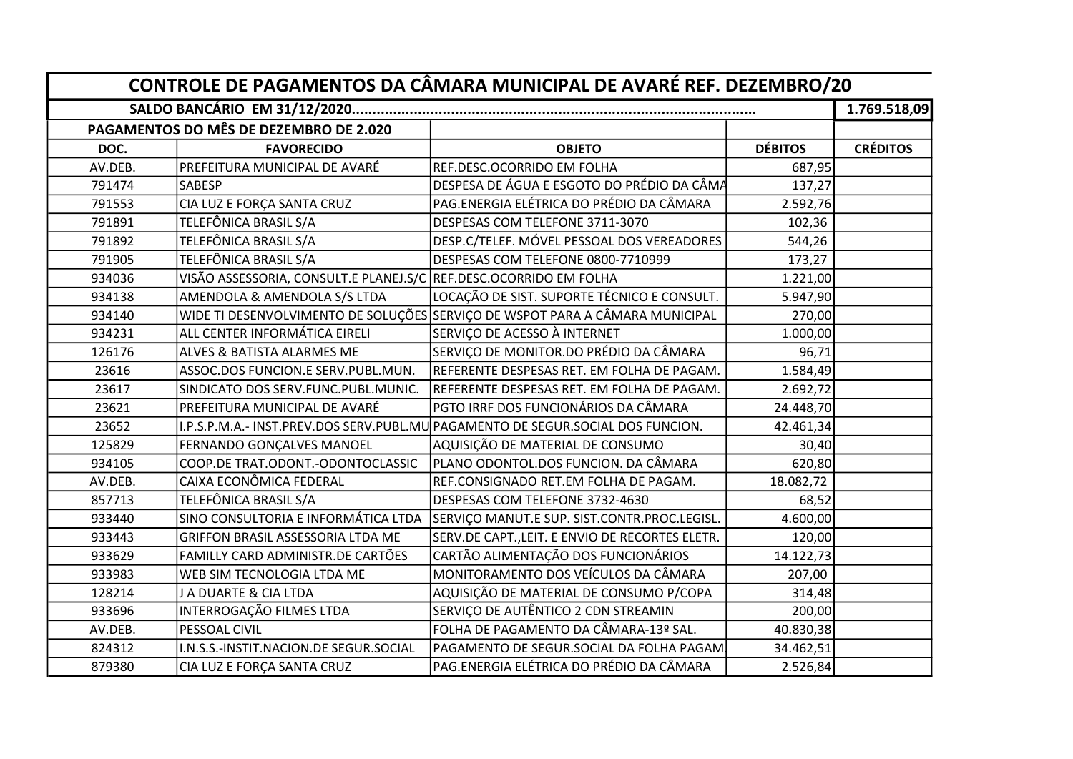| CONTROLE DE PAGAMENTOS DA CÂMARA MUNICIPAL DE AVARÉ REF. DEZEMBRO/20 |                                                                   |                                                                                 |                |                 |
|----------------------------------------------------------------------|-------------------------------------------------------------------|---------------------------------------------------------------------------------|----------------|-----------------|
|                                                                      |                                                                   |                                                                                 |                | 1.769.518,09    |
|                                                                      | PAGAMENTOS DO MÊS DE DEZEMBRO DE 2.020                            |                                                                                 |                |                 |
| DOC.                                                                 | <b>FAVORECIDO</b>                                                 | <b>OBJETO</b>                                                                   | <b>DÉBITOS</b> | <b>CRÉDITOS</b> |
| AV.DEB.                                                              | PREFEITURA MUNICIPAL DE AVARÉ                                     | REF.DESC.OCORRIDO EM FOLHA                                                      | 687,95         |                 |
| 791474                                                               | <b>SABESP</b>                                                     | DESPESA DE ÁGUA E ESGOTO DO PRÉDIO DA CÂMA                                      | 137,27         |                 |
| 791553                                                               | CIA LUZ E FORÇA SANTA CRUZ                                        | PAG.ENERGIA ELÉTRICA DO PRÉDIO DA CÂMARA                                        | 2.592,76       |                 |
| 791891                                                               | TELEFÔNICA BRASIL S/A                                             | DESPESAS COM TELEFONE 3711-3070                                                 | 102,36         |                 |
| 791892                                                               | TELEFÔNICA BRASIL S/A                                             | DESP.C/TELEF. MÓVEL PESSOAL DOS VEREADORES                                      | 544,26         |                 |
| 791905                                                               | TELEFÔNICA BRASIL S/A                                             | DESPESAS COM TELEFONE 0800-7710999                                              | 173,27         |                 |
| 934036                                                               | VISÃO ASSESSORIA, CONSULT.E PLANEJ.S/C REF.DESC.OCORRIDO EM FOLHA |                                                                                 | 1.221,00       |                 |
| 934138                                                               | AMENDOLA & AMENDOLA S/S LTDA                                      | LOCAÇÃO DE SIST. SUPORTE TÉCNICO E CONSULT.                                     | 5.947,90       |                 |
| 934140                                                               |                                                                   | WIDE TI DESENVOLVIMENTO DE SOLUÇÕES SERVIÇO DE WSPOT PARA A CÂMARA MUNICIPAL    | 270,00         |                 |
| 934231                                                               | ALL CENTER INFORMÁTICA EIRELI                                     | SERVIÇO DE ACESSO À INTERNET                                                    | 1.000,00       |                 |
| 126176                                                               | ALVES & BATISTA ALARMES ME                                        | SERVIÇO DE MONITOR.DO PRÉDIO DA CÂMARA                                          | 96,71          |                 |
| 23616                                                                | ASSOC.DOS FUNCION.E SERV.PUBL.MUN.                                | REFERENTE DESPESAS RET. EM FOLHA DE PAGAM.                                      | 1.584,49       |                 |
| 23617                                                                | SINDICATO DOS SERV.FUNC.PUBL.MUNIC.                               | REFERENTE DESPESAS RET. EM FOLHA DE PAGAM.                                      | 2.692,72       |                 |
| 23621                                                                | PREFEITURA MUNICIPAL DE AVARÉ                                     | PGTO IRRF DOS FUNCIONÁRIOS DA CÂMARA                                            | 24.448,70      |                 |
| 23652                                                                |                                                                   | I.P.S.P.M.A.- INST.PREV.DOS SERV.PUBL.MU PAGAMENTO DE SEGUR.SOCIAL DOS FUNCION. | 42.461,34      |                 |
| 125829                                                               | FERNANDO GONÇALVES MANOEL                                         | AQUISIÇÃO DE MATERIAL DE CONSUMO                                                | 30,40          |                 |
| 934105                                                               | COOP.DE TRAT.ODONT.-ODONTOCLASSIC                                 | PLANO ODONTOL.DOS FUNCION. DA CÂMARA                                            | 620,80         |                 |
| AV.DEB.                                                              | CAIXA ECONÔMICA FEDERAL                                           | REF.CONSIGNADO RET.EM FOLHA DE PAGAM.                                           | 18.082,72      |                 |
| 857713                                                               | TELEFÔNICA BRASIL S/A                                             | DESPESAS COM TELEFONE 3732-4630                                                 | 68,52          |                 |
| 933440                                                               | SINO CONSULTORIA E INFORMÁTICA LTDA                               | SERVIÇO MANUT.E SUP. SIST.CONTR.PROC.LEGISL.                                    | 4.600,00       |                 |
| 933443                                                               | GRIFFON BRASIL ASSESSORIA LTDA ME                                 | SERV.DE CAPT., LEIT. E ENVIO DE RECORTES ELETR.                                 | 120,00         |                 |
| 933629                                                               | FAMILLY CARD ADMINISTR.DE CARTÕES                                 | CARTÃO ALIMENTAÇÃO DOS FUNCIONÁRIOS                                             | 14.122,73      |                 |
| 933983                                                               | WEB SIM TECNOLOGIA LTDA ME                                        | MONITORAMENTO DOS VEÍCULOS DA CÂMARA                                            | 207,00         |                 |
| 128214                                                               | J A DUARTE & CIA LTDA                                             | AQUISIÇÃO DE MATERIAL DE CONSUMO P/COPA                                         | 314,48         |                 |
| 933696                                                               | INTERROGAÇÃO FILMES LTDA                                          | SERVIÇO DE AUTÊNTICO 2 CDN STREAMIN                                             | 200,00         |                 |
| AV.DEB.                                                              | PESSOAL CIVIL                                                     | FOLHA DE PAGAMENTO DA CÂMARA-13º SAL.                                           | 40.830,38      |                 |
| 824312                                                               | I.N.S.S.-INSTIT.NACION.DE SEGUR.SOCIAL                            | PAGAMENTO DE SEGUR.SOCIAL DA FOLHA PAGAM.                                       | 34.462,51      |                 |
| 879380                                                               | CIA LUZ E FORÇA SANTA CRUZ                                        | PAG.ENERGIA ELÉTRICA DO PRÉDIO DA CÂMARA                                        | 2.526,84       |                 |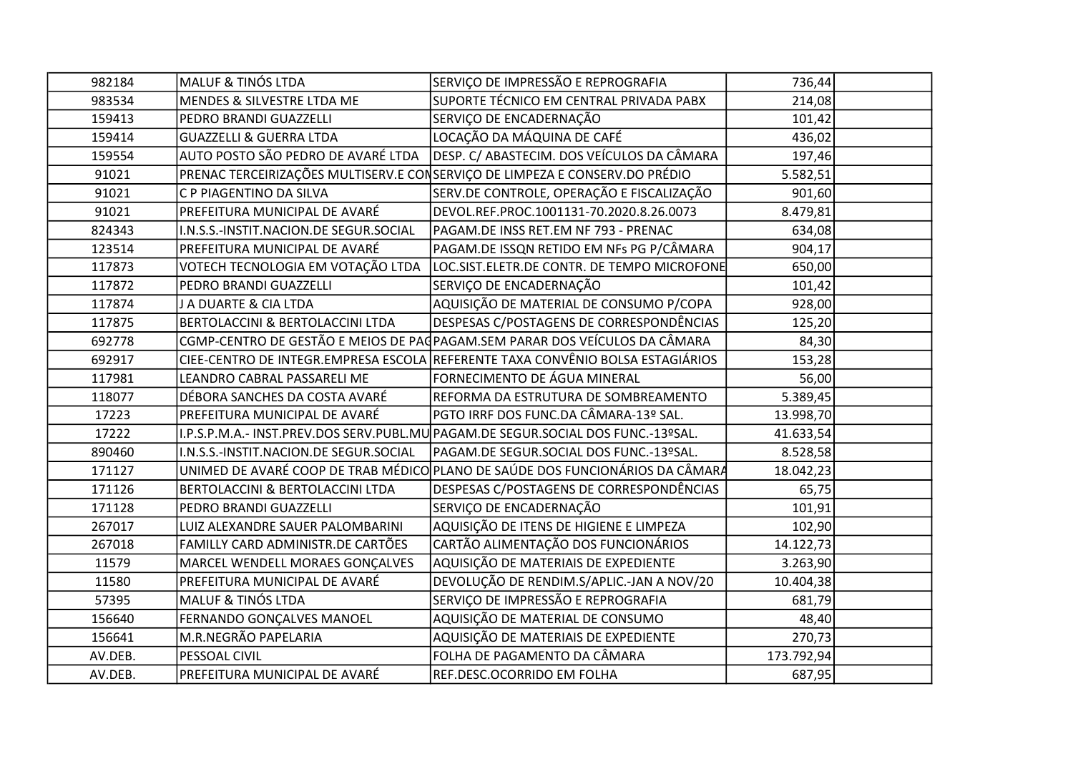| 982184  | <b>MALUF &amp; TINÓS LTDA</b>          | SERVIÇO DE IMPRESSÃO E REPROGRAFIA                                               | 736,44     |  |
|---------|----------------------------------------|----------------------------------------------------------------------------------|------------|--|
| 983534  | MENDES & SILVESTRE LTDA ME             | SUPORTE TÉCNICO EM CENTRAL PRIVADA PABX                                          | 214,08     |  |
| 159413  | PEDRO BRANDI GUAZZELLI                 | SERVIÇO DE ENCADERNAÇÃO                                                          | 101,42     |  |
| 159414  | <b>GUAZZELLI &amp; GUERRA LTDA</b>     | LOCAÇÃO DA MÁQUINA DE CAFÉ                                                       | 436,02     |  |
| 159554  | AUTO POSTO SÃO PEDRO DE AVARÉ LTDA     | DESP. C/ ABASTECIM. DOS VEÍCULOS DA CÂMARA                                       | 197,46     |  |
| 91021   |                                        | PRENAC TERCEIRIZAÇÕES MULTISERV.E CONSERVIÇO DE LIMPEZA E CONSERV.DO PRÉDIO      | 5.582,51   |  |
| 91021   | C P PIAGENTINO DA SILVA                | SERV.DE CONTROLE, OPERAÇÃO E FISCALIZAÇÃO                                        | 901,60     |  |
| 91021   | PREFEITURA MUNICIPAL DE AVARÉ          | DEVOL.REF.PROC.1001131-70.2020.8.26.0073                                         | 8.479,81   |  |
| 824343  | I.N.S.S.-INSTIT.NACION.DE SEGUR.SOCIAL | PAGAM.DE INSS RET.EM NF 793 - PRENAC                                             | 634,08     |  |
| 123514  | PREFEITURA MUNICIPAL DE AVARÉ          | PAGAM.DE ISSQN RETIDO EM NFs PG P/CÂMARA                                         | 904,17     |  |
| 117873  | VOTECH TECNOLOGIA EM VOTAÇÃO LTDA      | LOC.SIST.ELETR.DE CONTR. DE TEMPO MICROFONE                                      | 650,00     |  |
| 117872  | PEDRO BRANDI GUAZZELLI                 | SERVIÇO DE ENCADERNAÇÃO                                                          | 101,42     |  |
| 117874  | J A DUARTE & CIA LTDA                  | AQUISIÇÃO DE MATERIAL DE CONSUMO P/COPA                                          | 928,00     |  |
| 117875  | BERTOLACCINI & BERTOLACCINI LTDA       | DESPESAS C/POSTAGENS DE CORRESPONDÊNCIAS                                         | 125,20     |  |
| 692778  |                                        | CGMP-CENTRO DE GESTÃO E MEIOS DE PAGPAGAM.SEM PARAR DOS VEÍCULOS DA CÂMARA       | 84,30      |  |
| 692917  |                                        | CIEE-CENTRO DE INTEGR. EMPRESA ESCOLA REFERENTE TAXA CONVÊNIO BOLSA ESTAGIÁRIOS  | 153,28     |  |
| 117981  | LEANDRO CABRAL PASSARELI ME            | FORNECIMENTO DE ÁGUA MINERAL                                                     | 56,00      |  |
| 118077  | DÉBORA SANCHES DA COSTA AVARÉ          | REFORMA DA ESTRUTURA DE SOMBREAMENTO                                             | 5.389,45   |  |
| 17223   | PREFEITURA MUNICIPAL DE AVARÉ          | PGTO IRRF DOS FUNC.DA CÂMARA-13º SAL.                                            | 13.998,70  |  |
| 17222   |                                        | I.P.S.P.M.A.- INST.PREV.DOS SERV.PUBL.MU PAGAM.DE SEGUR.SOCIAL DOS FUNC.-13ºSAL. | 41.633,54  |  |
| 890460  | I.N.S.S.-INSTIT.NACION.DE SEGUR.SOCIAL | PAGAM.DE SEGUR.SOCIAL DOS FUNC.-13ºSAL.                                          | 8.528,58   |  |
| 171127  |                                        | UNIMED DE AVARÉ COOP DE TRAB MÉDICO PLANO DE SAÚDE DOS FUNCIONÁRIOS DA CÂMARA    | 18.042,23  |  |
| 171126  | BERTOLACCINI & BERTOLACCINI LTDA       | DESPESAS C/POSTAGENS DE CORRESPONDÊNCIAS                                         | 65,75      |  |
| 171128  | PEDRO BRANDI GUAZZELLI                 | SERVIÇO DE ENCADERNAÇÃO                                                          | 101,91     |  |
| 267017  | LUIZ ALEXANDRE SAUER PALOMBARINI       | AQUISIÇÃO DE ITENS DE HIGIENE E LIMPEZA                                          | 102,90     |  |
| 267018  | FAMILLY CARD ADMINISTR.DE CARTÕES      | CARTÃO ALIMENTAÇÃO DOS FUNCIONÁRIOS                                              | 14.122,73  |  |
| 11579   | MARCEL WENDELL MORAES GONCALVES        | AQUISIÇÃO DE MATERIAIS DE EXPEDIENTE                                             | 3.263,90   |  |
| 11580   | PREFEITURA MUNICIPAL DE AVARÉ          | DEVOLUÇÃO DE RENDIM.S/APLIC.-JAN A NOV/20                                        | 10.404,38  |  |
| 57395   | <b>MALUF &amp; TINÓS LTDA</b>          | SERVIÇO DE IMPRESSÃO E REPROGRAFIA                                               | 681,79     |  |
| 156640  | FERNANDO GONÇALVES MANOEL              | AQUISIÇÃO DE MATERIAL DE CONSUMO                                                 | 48,40      |  |
| 156641  | M.R.NEGRÃO PAPELARIA                   | AQUISIÇÃO DE MATERIAIS DE EXPEDIENTE                                             | 270,73     |  |
| AV.DEB. | PESSOAL CIVIL                          | FOLHA DE PAGAMENTO DA CÂMARA                                                     | 173.792,94 |  |
| AV.DEB. | PREFEITURA MUNICIPAL DE AVARÉ          | REF.DESC.OCORRIDO EM FOLHA                                                       | 687,95     |  |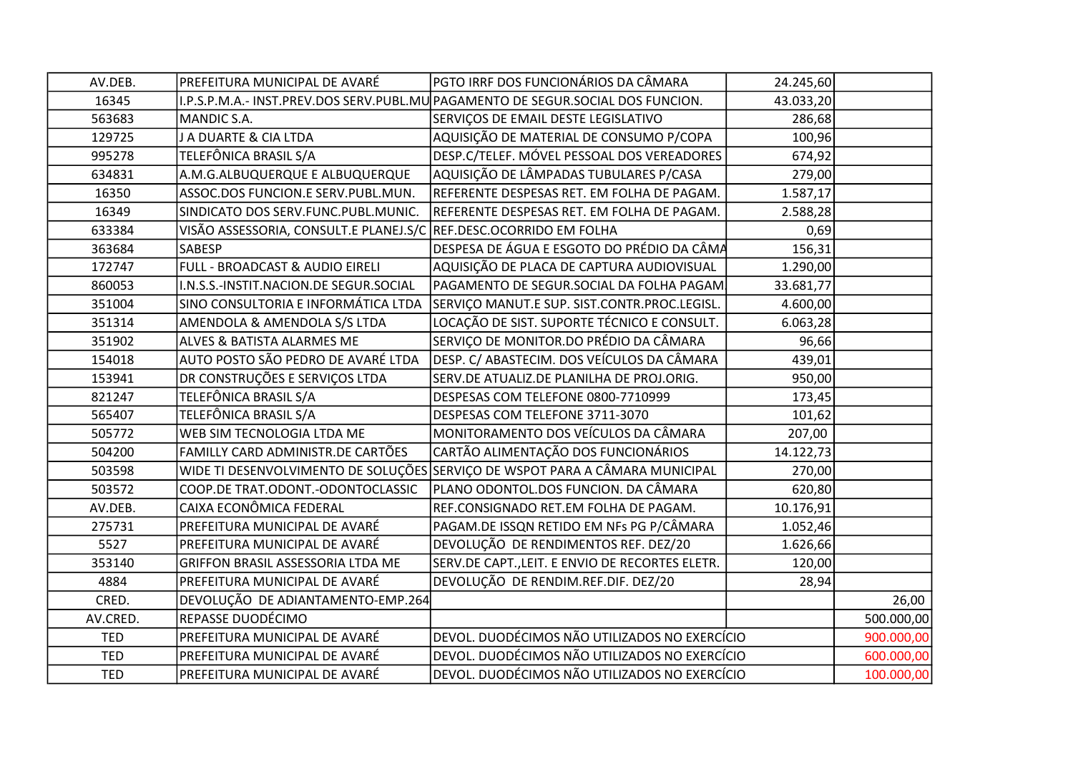| AV.DEB.    | PREFEITURA MUNICIPAL DE AVARÉ          | PGTO IRRF DOS FUNCIONÁRIOS DA CÂMARA                                            | 24.245,60 |            |
|------------|----------------------------------------|---------------------------------------------------------------------------------|-----------|------------|
| 16345      |                                        | I.P.S.P.M.A.- INST.PREV.DOS SERV.PUBL.MU PAGAMENTO DE SEGUR.SOCIAL DOS FUNCION. | 43.033,20 |            |
| 563683     | MANDIC S.A.                            | SERVIÇOS DE EMAIL DESTE LEGISLATIVO                                             | 286,68    |            |
| 129725     | J A DUARTE & CIA LTDA                  | AQUISIÇÃO DE MATERIAL DE CONSUMO P/COPA                                         | 100,96    |            |
| 995278     | TELEFÔNICA BRASIL S/A                  | DESP.C/TELEF. MÓVEL PESSOAL DOS VEREADORES                                      | 674,92    |            |
| 634831     | A.M.G.ALBUQUERQUE E ALBUQUERQUE        | AQUISIÇÃO DE LÂMPADAS TUBULARES P/CASA                                          | 279,00    |            |
| 16350      | ASSOC.DOS FUNCION.E SERV.PUBL.MUN.     | REFERENTE DESPESAS RET. EM FOLHA DE PAGAM.                                      | 1.587,17  |            |
| 16349      | SINDICATO DOS SERV.FUNC.PUBL.MUNIC.    | REFERENTE DESPESAS RET. EM FOLHA DE PAGAM.                                      | 2.588,28  |            |
| 633384     | VISÃO ASSESSORIA, CONSULT.E PLANEJ.S/C | REF.DESC.OCORRIDO EM FOLHA                                                      | 0,69      |            |
| 363684     | SABESP                                 | DESPESA DE ÁGUA E ESGOTO DO PRÉDIO DA CÂMA                                      | 156,31    |            |
| 172747     | FULL - BROADCAST & AUDIO EIRELI        | AQUISIÇÃO DE PLACA DE CAPTURA AUDIOVISUAL                                       | 1.290,00  |            |
| 860053     | I.N.S.S.-INSTIT.NACION.DE SEGUR.SOCIAL | PAGAMENTO DE SEGUR.SOCIAL DA FOLHA PAGAM                                        | 33.681,77 |            |
| 351004     | SINO CONSULTORIA E INFORMÁTICA LTDA    | SERVIÇO MANUT.E SUP. SIST.CONTR.PROC.LEGISL.                                    | 4.600,00  |            |
| 351314     | AMENDOLA & AMENDOLA S/S LTDA           | LOCAÇÃO DE SIST. SUPORTE TÉCNICO E CONSULT.                                     | 6.063,28  |            |
| 351902     | ALVES & BATISTA ALARMES ME             | SERVIÇO DE MONITOR.DO PRÉDIO DA CÂMARA                                          | 96,66     |            |
| 154018     | AUTO POSTO SÃO PEDRO DE AVARÉ LTDA     | DESP. C/ ABASTECIM. DOS VEÍCULOS DA CÂMARA                                      | 439,01    |            |
| 153941     | DR CONSTRUÇÕES E SERVIÇOS LTDA         | SERV.DE ATUALIZ.DE PLANILHA DE PROJ.ORIG.                                       | 950,00    |            |
| 821247     | TELEFÔNICA BRASIL S/A                  | DESPESAS COM TELEFONE 0800-7710999                                              | 173,45    |            |
| 565407     | TELEFÔNICA BRASIL S/A                  | DESPESAS COM TELEFONE 3711-3070                                                 | 101,62    |            |
| 505772     | WEB SIM TECNOLOGIA LTDA ME             | MONITORAMENTO DOS VEÍCULOS DA CÂMARA                                            | 207,00    |            |
| 504200     | FAMILLY CARD ADMINISTR.DE CARTÕES      | CARTÃO ALIMENTAÇÃO DOS FUNCIONÁRIOS                                             | 14.122,73 |            |
| 503598     |                                        | WIDE TI DESENVOLVIMENTO DE SOLUÇÕES SERVIÇO DE WSPOT PARA A CÂMARA MUNICIPAL    | 270,00    |            |
| 503572     | COOP.DE TRAT.ODONT.-ODONTOCLASSIC      | PLANO ODONTOL.DOS FUNCION. DA CÂMARA                                            | 620,80    |            |
| AV.DEB.    | CAIXA ECONÔMICA FEDERAL                | REF.CONSIGNADO RET.EM FOLHA DE PAGAM.                                           | 10.176,91 |            |
| 275731     | PREFEITURA MUNICIPAL DE AVARÉ          | PAGAM.DE ISSQN RETIDO EM NFs PG P/CÂMARA                                        | 1.052,46  |            |
| 5527       | PREFEITURA MUNICIPAL DE AVARÉ          | DEVOLUÇÃO DE RENDIMENTOS REF. DEZ/20                                            | 1.626,66  |            |
| 353140     | GRIFFON BRASIL ASSESSORIA LTDA ME      | SERV.DE CAPT., LEIT. E ENVIO DE RECORTES ELETR.                                 | 120,00    |            |
| 4884       | PREFEITURA MUNICIPAL DE AVARÉ          | DEVOLUÇÃO DE RENDIM.REF.DIF. DEZ/20                                             | 28,94     |            |
| CRED.      | DEVOLUÇÃO DE ADIANTAMENTO-EMP.264      |                                                                                 |           | 26,00      |
| AV.CRED.   | REPASSE DUODÉCIMO                      |                                                                                 |           | 500.000,00 |
| <b>TED</b> | PREFEITURA MUNICIPAL DE AVARÉ          | DEVOL. DUODÉCIMOS NÃO UTILIZADOS NO EXERCÍCIO                                   |           | 900.000,00 |
| <b>TED</b> | PREFEITURA MUNICIPAL DE AVARÉ          | DEVOL. DUODÉCIMOS NÃO UTILIZADOS NO EXERCÍCIO                                   |           | 600.000,00 |
| <b>TED</b> | PREFEITURA MUNICIPAL DE AVARÉ          | DEVOL. DUODÉCIMOS NÃO UTILIZADOS NO EXERCÍCIO                                   |           | 100.000,00 |